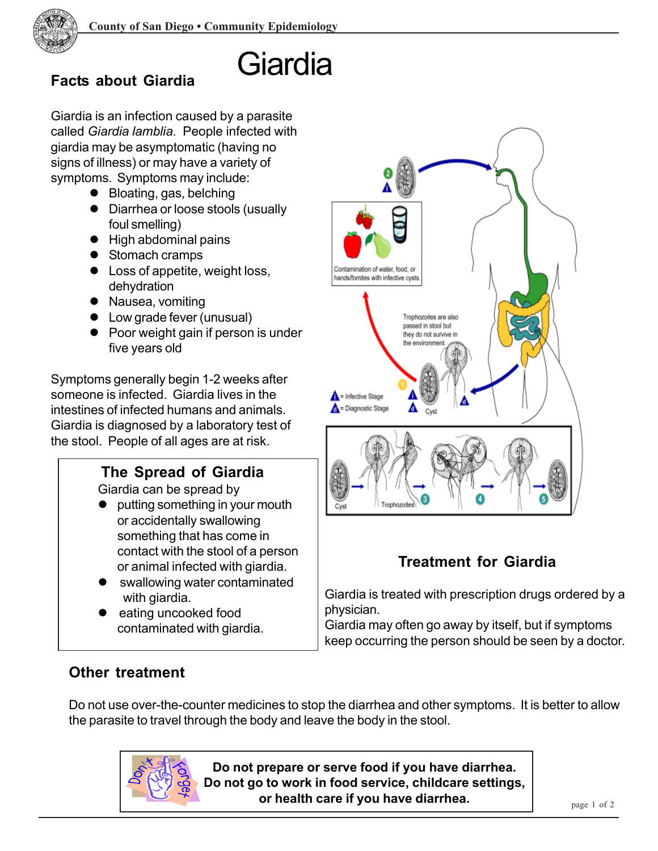

# Giardia **Facts about Giardia**

Giardia is an infection caused by a parasite called *Giardia lamblia.* People infected with giardia may be asymptomatic (having no signs of illness) or may have a variety of symptoms. Symptoms may include:

- $\bullet$  Bloating, gas, belching
- Diarrhea or loose stools (usually foul smelling)
- $\bullet$  High abdominal pains
- $\bullet$  Stomach cramps
- $\bullet$  Loss of appetite, weight loss, dehydration
- Nausea, vomiting
- Low grade fever (unusual)
- Poor weight gain if person is under five years old

Symptoms generally begin 1-2 weeks after someone is infected. Giardia lives in the intestines of infected humans and animals. Giardia is diagnosed by a laboratory test of the stool. People of all ages are at risk.

## **The Spread of Giardia**

Giardia can be spread by

- putting something in your mouth or accidentally swallowing something that has come in contact with the stool of a person or animal infected with giardia.
- swallowing water contaminated with giardia.
- eating uncooked food contaminated with giardia.



## **Treatment for Giardia**

Giardia is treated with prescription drugs ordered by a physician.

Giardia may often go away by itself, but if symptoms keep occurring the person should be seen by a doctor.

#### **Other treatment**

Do not use over-the-counter medicines to stop the diarrhea and other symptoms. It is better to allow the parasite to travel through the body and leave the body in the stool.



**Do not prepare or serve food if you have diarrhea. Do not go to work in food service, childcare settings, or health care if you have diarrhea.**